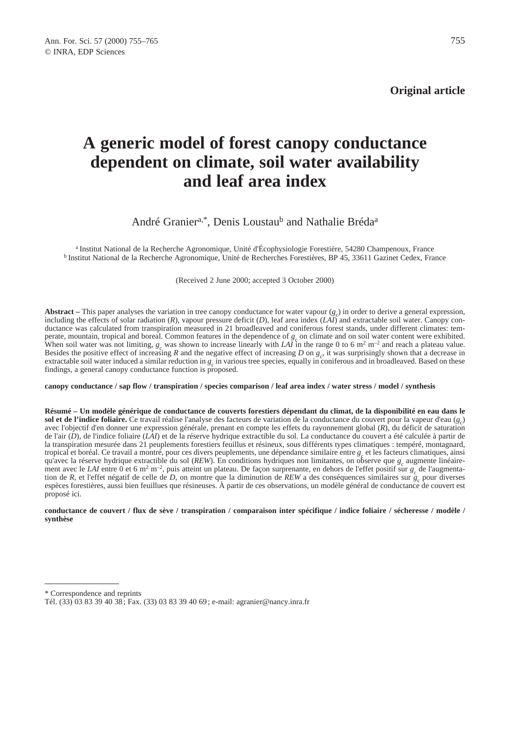**Original article**

# **A generic model of forest canopy conductance dependent on climate, soil water availability and leaf area index**

# André Granier<sup>a,\*</sup>, Denis Loustau<sup>b</sup> and Nathalie Bréda<sup>a</sup>

a Institut National de la Recherche Agronomique, Unité d'Écophysiologie Forestière, 54280 Champenoux, France b Institut National de la Recherche Agronomique, Unité de Recherches Forestières, BP 45, 33611 Gazinet Cedex, France

(Received 2 June 2000; accepted 3 October 2000)

**Abstract** – This paper analyses the variation in tree canopy conductance for water vapour  $(g_c)$  in order to derive a general expression, including the effects of solar radiation (*R*), vapour pressure deficit (*D*), leaf area index (*LAI*) and extractable soil water. Canopy conductance was calculated from transpiration measured in 21 broadleaved and coniferous forest stands, under different climates: temperate, mountain, tropical and boreal. Common features in the dependence of  $g_c$  on climate and on soil water content were exhibited. When soil water was not limiting,  $g_c$  was shown to increase linearly with *LAI* in the range 0 to 6 m<sup>2</sup> m<sup>-2</sup> and reach a plateau value. Besides the positive effect of increasing  $R$  and the negative effect of increasing  $D$  on  $g_c$ , it was surprisingly shown that a decrease in extractable soil water induced a similar reduction in  $g_c$  in various tree species, equally in coniferous and in broadleaved. Based on these findings, a general canopy conductance function is proposed.

**canopy conductance / sap flow / transpiration / species comparison / leaf area index / water stress / model / synthesis**

**Résumé – Un modèle générique de conductance de couverts forestiers dépendant du climat, de la disponibilité en eau dans le sol et de l'indice foliaire.** Ce travail réalise l'analyse des facteurs de variation de la conductance du couvert pour la vapeur d'eau (*g*<sup>c</sup> ) avec l'objectif d'en donner une expression générale, prenant en compte les effets du rayonnement global (*R*), du déficit de saturation de l'air (*D*), de l'indice foliaire (*LAI*) et de la réserve hydrique extractible du sol. La conductance du couvert a été calculée à partir de la transpiration mesurée dans 21 peuplements forestiers feuillus et résineux, sous différents types climatiques : tempéré, montagnard, tropical et boréal. Ce travail a montré, pour ces divers peuplements, une dépendance similaire entre  $g_c$  et les facteurs climatiques, ainsi qu'avec la réserve hydrique extractible du sol (*REW*). En conditions hydriques non limitantes, on observe que *g<sub>c</sub>* augmente linéairement avec le *LAI* entre 0 et 6 m<sup>2</sup> m<sup>-2</sup>, puis atteint un plateau. De façon surprenante, en dehors de l'effet positif sur  $g_c$  de l'augmentation de *R*, et l'effet négatif de celle de *D*, on montre que la diminution de *REW* a des conséquences similaires sur  $g_c$  pour diverses espèces forestières, aussi bien feuillues que résineuses. À partir de ces observations, un modèle général de conductance de couvert est proposé ici.

#### **conductance de couvert / flux de sève / transpiration / comparaison inter spécifique / indice foliaire / sécheresse / modèle / synthèse**

<sup>\*</sup> Correspondence and reprints

Tél. (33) 03 83 39 40 38 ; Fax. (33) 03 83 39 40 69 ; e-mail: agranier@nancy.inra.fr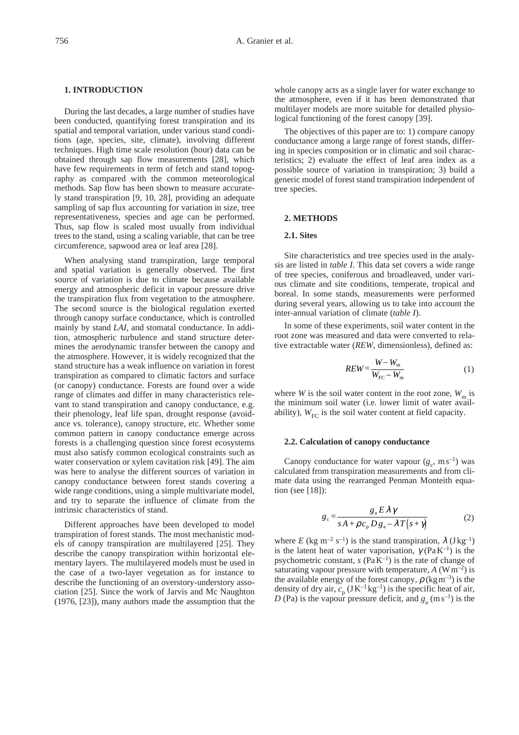#### **1. INTRODUCTION**

During the last decades, a large number of studies have been conducted, quantifying forest transpiration and its spatial and temporal variation, under various stand conditions (age, species, site, climate), involving different techniques. High time scale resolution (hour) data can be obtained through sap flow measurements [28], which have few requirements in term of fetch and stand topography as compared with the common meteorological methods. Sap flow has been shown to measure accurately stand transpiration [9, 10, 28], providing an adequate sampling of sap flux accounting for variation in size, tree representativeness, species and age can be performed. Thus, sap flow is scaled most usually from individual trees to the stand, using a scaling variable, that can be tree circumference, sapwood area or leaf area [28].

When analysing stand transpiration, large temporal and spatial variation is generally observed. The first source of variation is due to climate because available energy and atmospheric deficit in vapour pressure drive the transpiration flux from vegetation to the atmosphere. The second source is the biological regulation exerted through canopy surface conductance, which is controlled mainly by stand *LAI*, and stomatal conductance. In addition, atmospheric turbulence and stand structure determines the aerodynamic transfer between the canopy and the atmosphere. However, it is widely recognized that the stand structure has a weak influence on variation in forest transpiration as compared to climatic factors and surface (or canopy) conductance. Forests are found over a wide range of climates and differ in many characteristics relevant to stand transpiration and canopy conductance, e.g. their phenology, leaf life span, drought response (avoidance vs. tolerance), canopy structure, etc. Whether some common pattern in canopy conductance emerge across forests is a challenging question since forest ecosystems must also satisfy common ecological constraints such as water conservation or xylem cavitation risk [49]. The aim was here to analyse the different sources of variation in canopy conductance between forest stands covering a wide range conditions, using a simple multivariate model, and try to separate the influence of climate from the intrinsic characteristics of stand.

Different approaches have been developed to model transpiration of forest stands. The most mechanistic models of canopy transpiration are multilayered [25]. They describe the canopy transpiration within horizontal elementary layers. The multilayered models must be used in the case of a two-layer vegetation as for instance to describe the functioning of an overstory-understory association [25]. Since the work of Jarvis and Mc Naughton (1976, [23]), many authors made the assumption that the whole canopy acts as a single layer for water exchange to the atmosphere, even if it has been demonstrated that multilayer models are more suitable for detailed physiological functioning of the forest canopy [39].

The objectives of this paper are to: 1) compare canopy conductance among a large range of forest stands, differing in species composition or in climatic and soil characteristics; 2) evaluate the effect of leaf area index as a possible source of variation in transpiration; 3) build a generic model of forest stand transpiration independent of tree species.

#### **2. METHODS**

### **2.1. Sites**

Site characteristics and tree species used in the analysis are listed in *table I*. This data set covers a wide range of tree species, coniferous and broadleaved, under various climate and site conditions, temperate, tropical and boreal. In some stands, measurements were performed during several years, allowing us to take into account the inter-annual variation of climate (*table I*).

In some of these experiments, soil water content in the root zone was measured and data were converted to relative extractable water (*REW*, dimensionless), defined as:

$$
REW = \frac{W - W_{\text{m}}}{W_{\text{FC}} - W_{\text{m}}}
$$
 (1)

where *W* is the soil water content in the root zone,  $W_m$  is the minimum soil water (i.e. lower limit of water availability),  $W_{\text{FC}}$  is the soil water content at field capacity.

#### **2.2. Calculation of canopy conductance**

Canopy conductance for water vapour  $(g_c, \text{ ms}^{-1})$  was calculated from transpiration measurements and from climate data using the rearranged Penman Monteith equation (see [18]):

$$
g_c = \frac{g_a E \lambda \gamma}{s A + \rho c_p D g_a - \lambda T (s + \gamma)}
$$
(2)

where *E* (kg m<sup>-2</sup> s<sup>-1</sup>) is the stand transpiration,  $\lambda$  (J kg<sup>-1</sup>) is the latent heat of water vaporisation,  $\gamma$  (Pa K<sup>-1</sup>) is the psychometric constant,  $s$  (Pa K<sup>-1</sup>) is the rate of change of saturating vapour pressure with temperature,  $A$  (W m<sup>-2</sup>) is the available energy of the forest canopy,  $\rho$  (kg m<sup>-3</sup>) is the density of dry air,  $c_p (JK^{-1}kg^{-1})$  is the specific heat of air, *D* (Pa) is the vapour pressure deficit, and  $g_a$  (m s<sup>-1</sup>) is the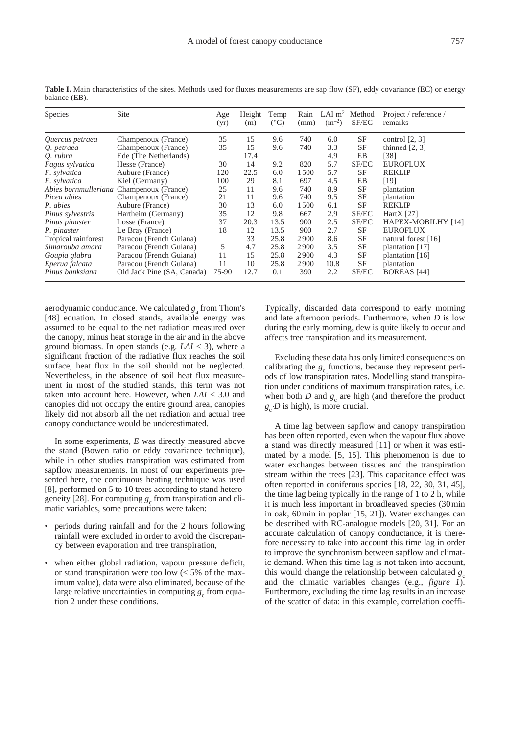| Species             | Site                                     | Age<br>(yr) | Height<br>(m) | Temp<br>$(^{\circ}C)$ | (mm) | Rain LAI m <sup>2</sup> Method<br>$(m^{-2})$ | SF/EC     | Project / reference /<br>remarks |
|---------------------|------------------------------------------|-------------|---------------|-----------------------|------|----------------------------------------------|-----------|----------------------------------|
| Quercus petraea     | Champenoux (France)                      | 35          | 15            | 9.6                   | 740  | 6.0                                          | SF        | control $[2, 3]$                 |
| Q. petraea          | Champenoux (France)                      | 35          | 15            | 9.6                   | 740  | 3.3                                          | SF        | thinned $[2, 3]$                 |
| Q. rubra            | Ede (The Netherlands)                    |             | 17.4          |                       |      | 4.9                                          | EB        | [38]                             |
| Fagus sylvatica     | Hesse (France)                           | 30          | 14            | 9.2                   | 820  | 5.7                                          | SF/EC     | <b>EUROFLUX</b>                  |
| <i>F.</i> sylvatica | Aubure (France)                          | 120         | 22.5          | 6.0                   | 1500 | 5.7                                          | SF        | <b>REKLIP</b>                    |
| F. sylvatica        | Kiel (Germany)                           | 100         | 29            | 8.1                   | 697  | 4.5                                          | EΒ        | [19]                             |
|                     | Abies bornmulleriana Champenoux (France) | 25          | 11            | 9.6                   | 740  | 8.9                                          | <b>SF</b> | plantation                       |
| Picea abies         | Champenoux (France)                      | 21          | 11            | 9.6                   | 740  | 9.5                                          | SF        | plantation                       |
| P. abies            | Aubure (France)                          | 30          | 13            | 6.0                   | 1500 | 6.1                                          | SF        | <b>REKLIP</b>                    |
| Pinus sylvestris    | Hartheim (Germany)                       | 35          | 12            | 9.8                   | 667  | 2.9                                          | SF/EC     | Hart $X$ [27]                    |
| Pinus pinaster      | Losse (France)                           | 37          | 20.3          | 13.5                  | 900  | 2.5                                          | SF/EC     | HAPEX-MOBILHY [14]               |
| P. pinaster         | Le Bray (France)                         | 18          | 12            | 13.5                  | 900  | 2.7                                          | SF        | <b>EUROFLUX</b>                  |
| Tropical rainforest | Paracou (French Guiana)                  |             | 33            | 25.8                  | 2900 | 8.6                                          | SF        | natural forest [16]              |
| Simarouba amara     | Paracou (French Guiana)                  | 5           | 4.7           | 25.8                  | 2900 | 3.5                                          | SF        | plantation [17]                  |
| Goupia glabra       | Paracou (French Guiana)                  | 11          | 15            | 25.8                  | 2900 | 4.3                                          | SF        | plantation [16]                  |
| Eperua falcata      | Paracou (French Guiana)                  | 11          | 10            | 25.8                  | 2900 | 10.8                                         | SF        | plantation                       |
| Pinus banksiana     | Old Jack Pine (SA, Canada)               | 75-90       | 12.7          | 0.1                   | 390  | 2.2                                          | SF/EC     | <b>BOREAS</b> [44]               |

Table I. Main characteristics of the sites. Methods used for fluxes measurements are sap flow (SF), eddy covariance (EC) or energy balance (EB).

aerodynamic conductance. We calculated  $g_a$  from Thom's [48] equation. In closed stands, available energy was assumed to be equal to the net radiation measured over the canopy, minus heat storage in the air and in the above ground biomass. In open stands (e.g.  $LAI < 3$ ), where a significant fraction of the radiative flux reaches the soil surface, heat flux in the soil should not be neglected. Nevertheless, in the absence of soil heat flux measurement in most of the studied stands, this term was not taken into account here. However, when *LAI* < 3.0 and canopies did not occupy the entire ground area, canopies likely did not absorb all the net radiation and actual tree canopy conductance would be underestimated.

In some experiments, *E* was directly measured above the stand (Bowen ratio or eddy covariance technique), while in other studies transpiration was estimated from sapflow measurements. In most of our experiments presented here, the continuous heating technique was used [8], performed on 5 to 10 trees according to stand heterogeneity [28]. For computing  $g_c$  from transpiration and climatic variables, some precautions were taken:

- periods during rainfall and for the 2 hours following rainfall were excluded in order to avoid the discrepancy between evaporation and tree transpiration,
- when either global radiation, vapour pressure deficit, or stand transpiration were too low  $\langle \leq 5\% \rangle$  of the maximum value), data were also eliminated, because of the large relative uncertainties in computing  $g_c$  from equation 2 under these conditions.

Typically, discarded data correspond to early morning and late afternoon periods. Furthermore, when *D* is low during the early morning, dew is quite likely to occur and affects tree transpiration and its measurement.

Excluding these data has only limited consequences on calibrating the  $g_c$  functions, because they represent periods of low transpiration rates. Modelling stand transpiration under conditions of maximum transpiration rates, i.e. when both *D* and  $g_c$  are high (and therefore the product  $g_c$ ·*D* is high), is more crucial.

A time lag between sapflow and canopy transpiration has been often reported, even when the vapour flux above a stand was directly measured [11] or when it was estimated by a model [5, 15]. This phenomenon is due to water exchanges between tissues and the transpiration stream within the trees [23]. This capacitance effect was often reported in coniferous species [18, 22, 30, 31, 45], the time lag being typically in the range of 1 to 2 h, while it is much less important in broadleaved species (30 min in oak, 60 min in poplar [15, 21]). Water exchanges can be described with RC-analogue models [20, 31]. For an accurate calculation of canopy conductance, it is therefore necessary to take into account this time lag in order to improve the synchronism between sapflow and climatic demand. When this time lag is not taken into account, this would change the relationship between calculated  $g_c$ and the climatic variables changes (e.g., *figure 1*). Furthermore, excluding the time lag results in an increase of the scatter of data: in this example, correlation coeffi-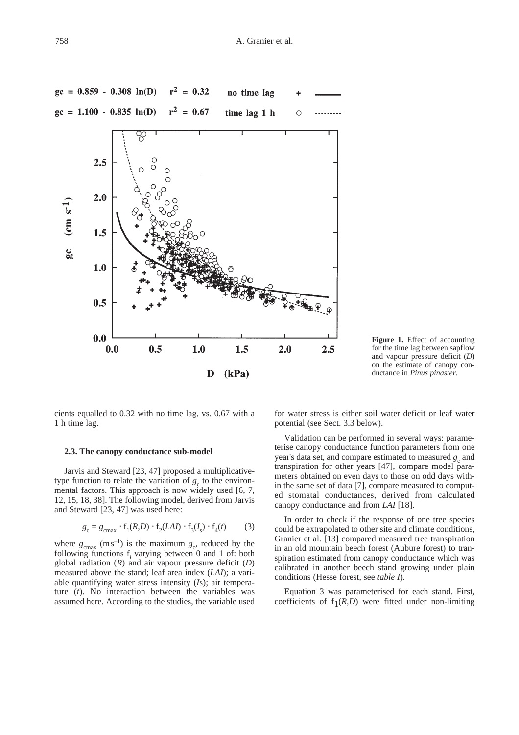

**Figure 1.** Effect of accounting for the time lag between sapflow and vapour pressure deficit (*D*) on the estimate of canopy conductance in *Pinus pinaster*.

cients equalled to 0.32 with no time lag, vs. 0.67 with a 1 h time lag.

#### **2.3. The canopy conductance sub-model**

Jarvis and Steward [23, 47] proposed a multiplicativetype function to relate the variation of  $g_c$  to the environmental factors. This approach is now widely used [6, 7, 12, 15, 18, 38]. The following model, derived from Jarvis and Steward [23, 47] was used here:

$$
g_{\rm c} = g_{\rm cmax} \cdot \mathbf{f}_1(R, D) \cdot \mathbf{f}_2(LAI) \cdot \mathbf{f}_3(I_s) \cdot \mathbf{f}_4(t) \tag{3}
$$

where  $g_{\text{cmax}}$  (m s<sup>-1</sup>) is the maximum  $g_c$ , reduced by the following functions  $f_i$  varying between 0 and 1 of: both global radiation (*R*) and air vapour pressure deficit (*D*) measured above the stand; leaf area index (*LAI*); a variable quantifying water stress intensity (*I*s); air temperature (*t*). No interaction between the variables was assumed here. According to the studies, the variable used for water stress is either soil water deficit or leaf water potential (see Sect. 3.3 below).

Validation can be performed in several ways: parameterise canopy conductance function parameters from one year's data set, and compare estimated to measured  $g_c$  and transpiration for other years [47], compare model parameters obtained on even days to those on odd days within the same set of data [7], compare measured to computed stomatal conductances, derived from calculated canopy conductance and from *LAI* [18].

In order to check if the response of one tree species could be extrapolated to other site and climate conditions, Granier et al. [13] compared measured tree transpiration in an old mountain beech forest (Aubure forest) to transpiration estimated from canopy conductance which was calibrated in another beech stand growing under plain conditions (Hesse forest, see *table I*).

Equation 3 was parameterised for each stand. First, coefficients of  $f_1(R,D)$  were fitted under non-limiting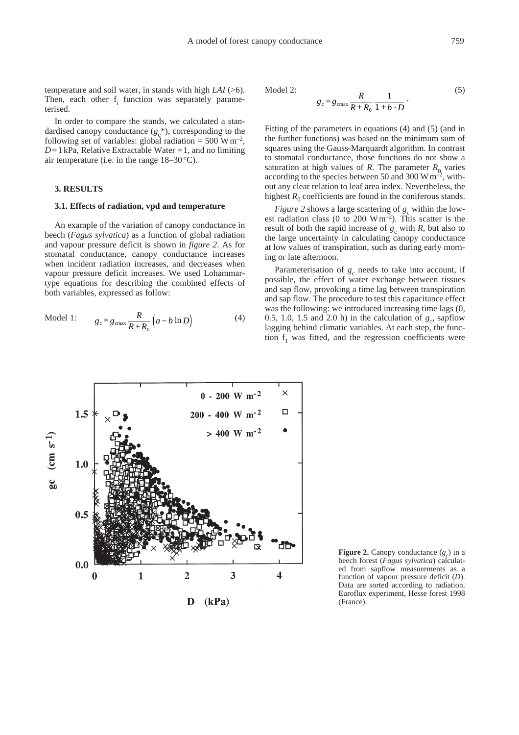temperature and soil water, in stands with high *LAI* (>6). Then, each other f<sub>i</sub> function was separately parameterised.

In order to compare the stands, we calculated a standardised canopy conductance  $(g_c^*)$ , corresponding to the following set of variables: global radiation =  $500 \text{ W m}^{-2}$ ,  $D = 1$  kPa, Relative Extractable Water = 1, and no limiting air temperature (i.e. in the range 18–30 °C).

# **3. RESULTS**

#### **3.1. Effects of radiation, vpd and temperature**

An example of the variation of canopy conductance in beech (*Fagus sylvatica*) as a function of global radiation and vapour pressure deficit is shown in *figure 2*. As for stomatal conductance, canopy conductance increases when incident radiation increases, and decreases when vapour pressure deficit increases. We used Lohammartype equations for describing the combined effects of both variables, expressed as follow:

Model 1: 
$$
g_c = g_{\text{cmax}} \frac{R}{R + R_0} \left( a - b \ln D \right)
$$
 (4)

Model 2: 
$$
g_c = g_{\text{cmax}} \frac{R}{R + R_0} \frac{1}{1 + b \cdot D}.
$$
 (5)

Fitting of the parameters in equations (4) and (5) (and in the further functions) was based on the minimum sum of squares using the Gauss-Marquardt algorithm. In contrast to stomatal conductance, those functions do not show a saturation at high values of *R*. The parameter  $R_0$  varies according to the species between 50 and 300 W  $\mathrm{m}^{-2}$ , without any clear relation to leaf area index. Nevertheless, the highest  $R_0$  coefficients are found in the coniferous stands.

*Figure 2* shows a large scattering of  $g_c$  within the lowest radiation class (0 to 200 W m<sup>-2</sup>). This scatter is the result of both the rapid increase of  $g_c$  with  $R$ , but also to the large uncertainty in calculating canopy conductance at low values of transpiration, such as during early morning or late afternoon.

Parameterisation of  $g_c$  needs to take into account, if possible, the effect of water exchange between tissues and sap flow, provoking a time lag between transpiration and sap flow. The procedure to test this capacitance effect was the following: we introduced increasing time lags (0, 0.5, 1.0, 1.5 and 2.0 h) in the calculation of  $g_c$ , sapflow lagging behind climatic variables. At each step, the function  $f_1$  was fitted, and the regression coefficients were



**Figure 2.** Canopy conductance  $(g_c)$  in a beech forest (*Fagus sylvatica*) calculated from sapflow measurements as a function of vapour pressure deficit (*D*). Data are sorted according to radiation. Euroflux experiment, Hesse forest 1998 (France).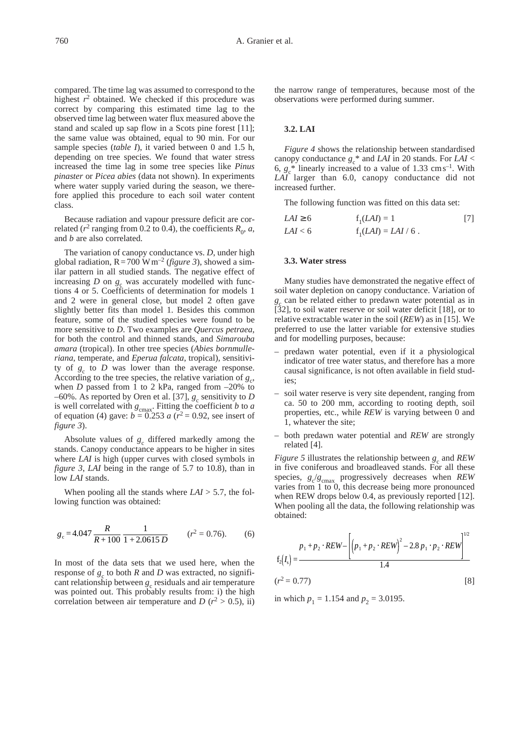compared. The time lag was assumed to correspond to the highest  $r^2$  obtained. We checked if this procedure was correct by comparing this estimated time lag to the observed time lag between water flux measured above the stand and scaled up sap flow in a Scots pine forest [11]; the same value was obtained, equal to 90 min. For our sample species (*table I*), it varied between 0 and 1.5 h, depending on tree species. We found that water stress increased the time lag in some tree species like *Pinus pinaster* or *Picea abies* (data not shown). In experiments where water supply varied during the season, we therefore applied this procedure to each soil water content class.

Because radiation and vapour pressure deficit are correlated ( $r^2$  ranging from 0.2 to 0.4), the coefficients  $R_0$ , *a*, and *b* are also correlated.

The variation of canopy conductance vs. *D*, under high global radiation,  $R = 700$  W m<sup>-2</sup> (*figure 3*), showed a similar pattern in all studied stands. The negative effect of increasing  $D$  on  $g_c$  was accurately modelled with functions 4 or 5. Coefficients of determination for models 1 and 2 were in general close, but model 2 often gave slightly better fits than model 1. Besides this common feature, some of the studied species were found to be more sensitive to *D*. Two examples are *Quercus petraea*, for both the control and thinned stands, and *Simarouba amara* (tropical). In other tree species (*Abies bornmulleriana*, temperate, and *Eperua falcata*, tropical), sensitivity of  $g_c$  to  $D$  was lower than the average response. According to the tree species, the relative variation of  $g_c$ , when *D* passed from 1 to 2 kPa, ranged from  $-20\%$  to –60%. As reported by Oren et al. [37],  $g_c$  sensitivity to *D* is well correlated with  $g_{\text{cmax}}$ . Fitting the coefficient *b* to *a* of equation (4) gave:  $b = 0.253$  *a* ( $r^2 = 0.92$ , see insert of *figure 3*).

Absolute values of  $g_c$  differed markedly among the stands. Canopy conductance appears to be higher in sites where *LAI* is high (upper curves with closed symbols in *figure 3*, *LAI* being in the range of 5.7 to 10.8), than in low *LAI* stands.

When pooling all the stands where *LAI* > 5.7, the following function was obtained:

$$
g_c = 4.047 \frac{R}{R + 100} \frac{1}{1 + 2.0615 D}
$$
  $(r^2 = 0.76).$  (6)

In most of the data sets that we used here, when the response of  $g_c$  to both *R* and *D* was extracted, no significant relationship between  $g_c$  residuals and air temperature was pointed out. This probably results from: i) the high correlation between air temperature and *D* ( $r^2 > 0.5$ ), ii)

the narrow range of temperatures, because most of the observations were performed during summer.

# **3.2. LAI**

*Figure 4* shows the relationship between standardised canopy conductance  $g_c^*$  and *LAI* in 20 stands. For *LAI* < 6,  $g_c^*$  linearly increased to a value of 1.33 cm s<sup>-1</sup>. With *LAI* larger than 6.0, canopy conductance did not increased further.

The following function was fitted on this data set:

$$
LAI \ge 6 \qquad f_1(LAI) = 1 \qquad [7]
$$
  

$$
LAI < 6 \qquad f_1(LAI) = LAI / 6 .
$$

## **3.3. Water stress**

Many studies have demonstrated the negative effect of soil water depletion on canopy conductance. Variation of  $g_c$  can be related either to predawn water potential as in [32], to soil water reserve or soil water deficit [18], or to relative extractable water in the soil (*REW*) as in [15]. We preferred to use the latter variable for extensive studies and for modelling purposes, because:

- predawn water potential, even if it a physiological indicator of tree water status, and therefore has a more causal significance, is not often available in field studies;
- soil water reserve is very site dependent, ranging from ca. 50 to 200 mm, according to rooting depth, soil properties, etc., while *REW* is varying between 0 and 1, whatever the site;
- both predawn water potential and *REW* are strongly related [4].

*Figure 5* illustrates the relationship between  $g_c$  and *REW* in five coniferous and broadleaved stands. For all these species,  $g_c/g_{\text{cmax}}$  progressively decreases when *REW* varies from 1 to 0, this decrease being more pronounced when REW drops below 0.4, as previously reported [12]. When pooling all the data, the following relationship was obtained:

$$
f_2(I_s) = \frac{p_1 + p_2 \cdot REV - \left[ (p_1 + p_2 \cdot REV)^2 - 2.8 p_1 \cdot p_2 \cdot REV \right]^{1/2}}{1.4}
$$
  
( $r^2 = 0.77$ ) [8]

in which  $p_1 = 1.154$  and  $p_2 = 3.0195$ .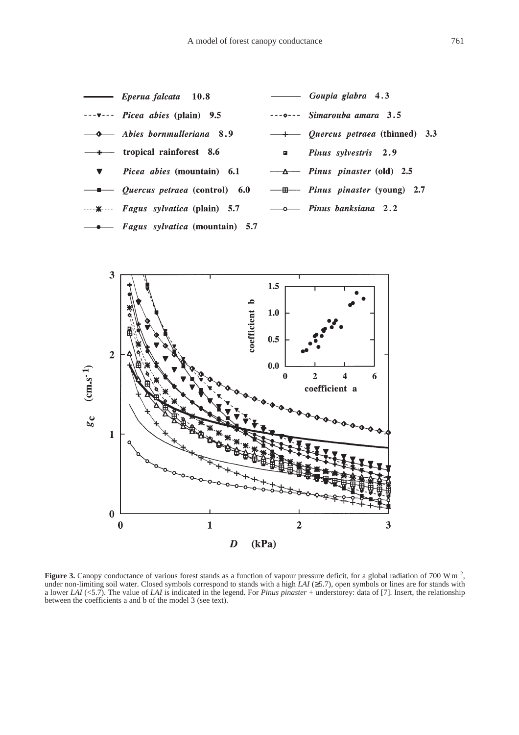



**Figure 3.** Canopy conductance of various forest stands as a function of vapour pressure deficit, for a global radiation of 700 W m<sup>-2</sup>, under non-limiting soil water. Closed symbols correspond to stands with a high *LAI* (≥5.7), open symbols or lines are for stands with a lower *LAI* (<5.7). The value of *LAI* is indicated in the legend. For *Pinus pinaster* + understorey: data of [7]. Insert, the relationship between the coefficients a and b of the model 3 (see text).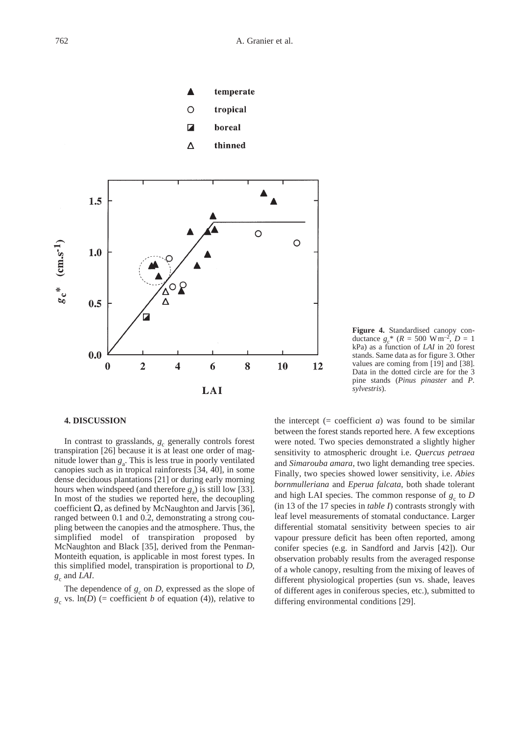



**Figure 4.** Standardised canopy conductance  $g_c^*$  ( $R = 500 \text{ W m}^{-2}$ ,  $D = 1$ ) kPa) as a function of *LAI* in 20 forest stands. Same data as for figure 3. Other values are coming from [19] and [38]. Data in the dotted circle are for the 3 pine stands (*Pinus pinaster* and *P. sylvestris*).

#### **4. DISCUSSION**

In contrast to grasslands,  $g_c$  generally controls forest transpiration [26] because it is at least one order of magnitude lower than  $g_a$ . This is less true in poorly ventilated canopies such as in tropical rainforests [34, 40], in some dense deciduous plantations [21] or during early morning hours when windspeed (and therefore  $g_a$ ) is still low [33]. In most of the studies we reported here, the decoupling coefficient  $\Omega$ , as defined by McNaughton and Jarvis [36], ranged between 0.1 and 0.2, demonstrating a strong coupling between the canopies and the atmosphere. Thus, the simplified model of transpiration proposed by McNaughton and Black [35], derived from the Penman-Monteith equation, is applicable in most forest types. In this simplified model, transpiration is proportional to *D*,  $g_c$  and *LAI*.

The dependence of  $g_c$  on *D*, expressed as the slope of  $g_c$  vs. ln(*D*) (= coefficient *b* of equation (4)), relative to the intercept  $(= coefficient a)$  was found to be similar between the forest stands reported here. A few exceptions were noted. Two species demonstrated a slightly higher sensitivity to atmospheric drought i.e. *Quercus petraea* and *Simarouba amara*, two light demanding tree species. Finally, two species showed lower sensitivity, i.e. *Abies bornmulleriana* and *Eperua falcata*, both shade tolerant and high LAI species. The common response of  $g_c$  to *D* (in 13 of the 17 species in *table I*) contrasts strongly with leaf level measurements of stomatal conductance. Larger differential stomatal sensitivity between species to air vapour pressure deficit has been often reported, among conifer species (e.g. in Sandford and Jarvis [42]). Our observation probably results from the averaged response of a whole canopy, resulting from the mixing of leaves of different physiological properties (sun vs. shade, leaves of different ages in coniferous species, etc.), submitted to differing environmental conditions [29].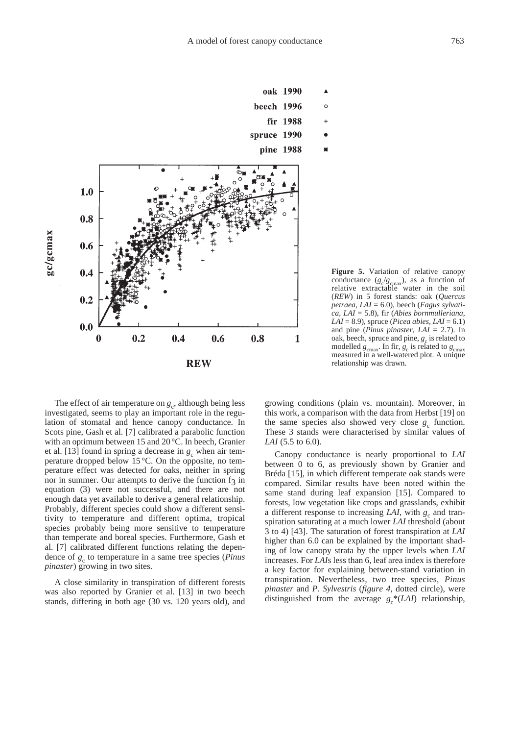

**Figure 5.** Variation of relative canopy conductance  $(g_c/g_{\text{cmax}})$ , as a function of relative extractable water in the soil (*REW*) in 5 forest stands: oak (*Quercus petraea*, *LAI* = 6.0), beech (*Fagus sylvatica*, *LAI* = 5.8), fir (*Abies bornmulleriana*, *LAI* = 8.9), spruce (*Picea abies*, *LAI* = 6.1) and pine (*Pinus pinaster*,  $LAI = 2.7$ ). In oak, beech, spruce and pine,  $g_c$  is related to modelled  $g_{\text{cmax}}$ . In fir,  $g_c$  is related to  $g_{\text{cmax}}$ measured in a well-watered plot. A unique relationship was drawn.

The effect of air temperature on  $g_c$ , although being less investigated, seems to play an important role in the regulation of stomatal and hence canopy conductance. In Scots pine, Gash et al. [7] calibrated a parabolic function with an optimum between 15 and 20 °C. In beech, Granier et al. [13] found in spring a decrease in  $g_c$  when air temperature dropped below 15 °C. On the opposite, no temperature effect was detected for oaks, neither in spring nor in summer. Our attempts to derive the function  $f_3$  in equation (3) were not successful, and there are not enough data yet available to derive a general relationship. Probably, different species could show a different sensitivity to temperature and different optima, tropical species probably being more sensitive to temperature than temperate and boreal species. Furthermore, Gash et al. [7] calibrated different functions relating the dependence of  $g_c$  to temperature in a same tree species (*Pinus pinaster*) growing in two sites.

A close similarity in transpiration of different forests was also reported by Granier et al. [13] in two beech stands, differing in both age (30 vs. 120 years old), and growing conditions (plain vs. mountain). Moreover, in this work, a comparison with the data from Herbst [19] on the same species also showed very close  $g_c$  function. These 3 stands were characterised by similar values of *LAI* (5.5 to 6.0).

Canopy conductance is nearly proportional to *LAI* between 0 to 6, as previously shown by Granier and Bréda [15], in which different temperate oak stands were compared. Similar results have been noted within the same stand during leaf expansion [15]. Compared to forests, low vegetation like crops and grasslands, exhibit a different response to increasing *LAI*, with  $g_c$  and transpiration saturating at a much lower *LAI* threshold (about 3 to 4) [43]. The saturation of forest transpiration at *LAI* higher than 6.0 can be explained by the important shading of low canopy strata by the upper levels when *LAI* increases. For *LAI*s less than 6, leaf area index is therefore a key factor for explaining between-stand variation in transpiration. Nevertheless, two tree species, *Pinus pinaster* and *P. Sylvestris* (*figure 4*, dotted circle), were distinguished from the average  $g_c^*(LAI)$  relationship,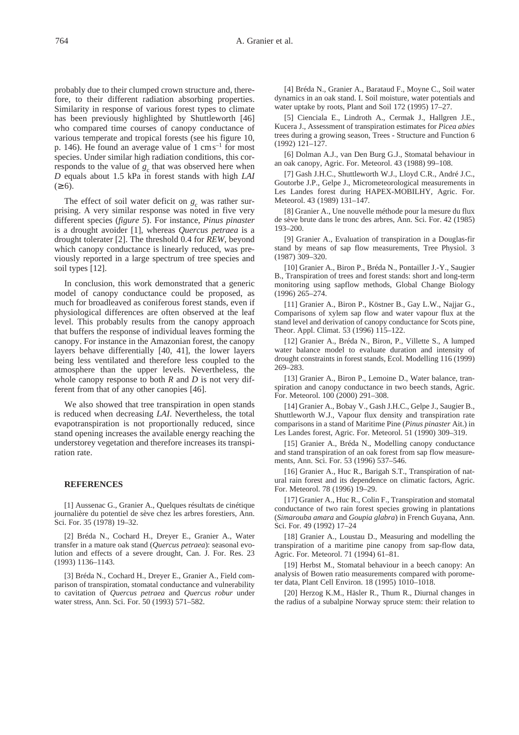probably due to their clumped crown structure and, therefore, to their different radiation absorbing properties. Similarity in response of various forest types to climate has been previously highlighted by Shuttleworth [46] who compared time courses of canopy conductance of various temperate and tropical forests (see his figure 10, p. 146). He found an average value of  $1 \text{ cm s}^{-1}$  for most species. Under similar high radiation conditions, this corresponds to the value of  $g_c$  that was observed here when *D* equals about 1.5 kPa in forest stands with high *LAI*   $(≥ 6)$ .

The effect of soil water deficit on  $g_c$  was rather surprising. A very similar response was noted in five very different species (*figure 5*). For instance, *Pinus pinaster* is a drought avoider [1], whereas *Quercus petraea* is a drought tolerater [2]. The threshold 0.4 for *REW*, beyond which canopy conductance is linearly reduced, was previously reported in a large spectrum of tree species and soil types [12].

In conclusion, this work demonstrated that a generic model of canopy conductance could be proposed, as much for broadleaved as coniferous forest stands, even if physiological differences are often observed at the leaf level. This probably results from the canopy approach that buffers the response of individual leaves forming the canopy. For instance in the Amazonian forest, the canopy layers behave differentially [40, 41], the lower layers being less ventilated and therefore less coupled to the atmosphere than the upper levels. Nevertheless, the whole canopy response to both *R* and *D* is not very different from that of any other canopies [46].

We also showed that tree transpiration in open stands is reduced when decreasing *LAI*. Nevertheless, the total evapotranspiration is not proportionally reduced, since stand opening increases the available energy reaching the understorey vegetation and therefore increases its transpiration rate.

#### **REFERENCES**

[1] Aussenac G., Granier A., Quelques résultats de cinétique journalière du potentiel de sève chez les arbres forestiers, Ann. Sci. For. 35  $(1978)$  19–32.

[2] Bréda N., Cochard H., Dreyer E., Granier A., Water transfer in a mature oak stand (*Quercus petraea*): seasonal evolution and effects of a severe drought, Can. J. For. Res. 23 (1993) 1136–1143.

[3] Bréda N., Cochard H., Dreyer E., Granier A., Field comparison of transpiration, stomatal conductance and vulnerability to cavitation of *Quercus petraea* and *Quercus robur* under water stress, Ann. Sci. For. 50 (1993) 571–582.

[4] Bréda N., Granier A., Barataud F., Moyne C., Soil water dynamics in an oak stand. I. Soil moisture, water potentials and water uptake by roots, Plant and Soil 172 (1995) 17–27.

[5] Cienciala E., Lindroth A., Cermak J., Hallgren J.E., Kucera J., Assessment of transpiration estimates for *Picea abies* trees during a growing season, Trees - Structure and Function 6 (1992) 121–127.

[6] Dolman A.J., van Den Burg G.J., Stomatal behaviour in an oak canopy, Agric. For. Meteorol. 43 (1988) 99–108.

[7] Gash J.H.C., Shuttleworth W.J., Lloyd C.R., André J.C., Goutorbe J.P., Gelpe J., Micrometeorological measurements in Les Landes forest during HAPEX-MOBILHY, Agric. For. Meteorol. 43 (1989) 131–147.

[8] Granier A., Une nouvelle méthode pour la mesure du flux de sève brute dans le tronc des arbres, Ann. Sci. For. 42 (1985) 193–200.

[9] Granier A., Evaluation of transpiration in a Douglas-fir stand by means of sap flow measurements, Tree Physiol. 3 (1987) 309–320.

[10] Granier A., Biron P., Bréda N., Pontailler J.-Y., Saugier B., Transpiration of trees and forest stands: short and long-term monitoring using sapflow methods, Global Change Biology (1996) 265–274.

[11] Granier A., Biron P., Köstner B., Gay L.W., Najjar G., Comparisons of xylem sap flow and water vapour flux at the stand level and derivation of canopy conductance for Scots pine, Theor. Appl. Climat. 53 (1996) 115–122.

[12] Granier A., Bréda N., Biron, P., Villette S., A lumped water balance model to evaluate duration and intensity of drought constraints in forest stands, Ecol. Modelling 116 (1999) 269–283.

[13] Granier A., Biron P., Lemoine D., Water balance, transpiration and canopy conductance in two beech stands, Agric. For. Meteorol. 100 (2000) 291–308.

[14] Granier A., Bobay V., Gash J.H.C., Gelpe J., Saugier B., Shuttleworth W.J., Vapour flux density and transpiration rate comparisons in a stand of Maritime Pine (*Pinus pinaster* Ait.) in Les Landes forest, Agric. For. Meteorol. 51 (1990) 309–319.

[15] Granier A., Bréda N., Modelling canopy conductance and stand transpiration of an oak forest from sap flow measurements, Ann. Sci. For. 53 (1996) 537–546.

[16] Granier A., Huc R., Barigah S.T., Transpiration of natural rain forest and its dependence on climatic factors, Agric. For. Meteorol. 78 (1996) 19–29.

[17] Granier A., Huc R., Colin F., Transpiration and stomatal conductance of two rain forest species growing in plantations (*Simarouba amara* and *Goupia glabra*) in French Guyana, Ann. Sci. For. 49 (1992) 17–24

[18] Granier A., Loustau D., Measuring and modelling the transpiration of a maritime pine canopy from sap-flow data, Agric. For. Meteorol. 71 (1994) 61–81.

[19] Herbst M., Stomatal behaviour in a beech canopy: An analysis of Bowen ratio measurements compared with porometer data, Plant Cell Environ. 18 (1995) 1010–1018.

[20] Herzog K.M., Häsler R., Thum R., Diurnal changes in the radius of a subalpine Norway spruce stem: their relation to